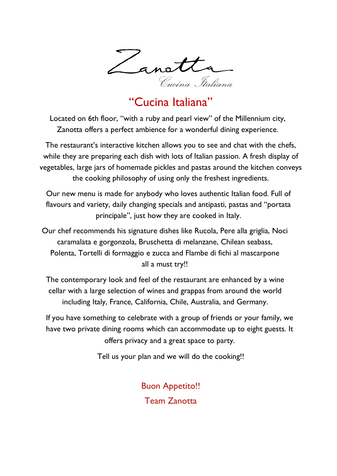

Located on 6th floor, "with a ruby and pearl view" of the Millennium city, Zanotta offers a perfect ambience for a wonderful dining experience.

The restaurant's interactive kitchen allows you to see and chat with the chefs, while they are preparing each dish with lots of Italian passion. A fresh display of vegetables, large jars of homemade pickles and pastas around the kitchen conveys the cooking philosophy of using only the freshest ingredients.

Our new menu is made for anybody who loves authentic Italian food. Full of flavours and variety, daily changing specials and antipasti, pastas and "portata principale", just how they are cooked in Italy.

Our chef recommends his signature dishes like Rucola, Pere alla griglia, Noci caramalata e gorgonzola, Bruschetta di melanzane, Chilean seabass, Polenta, Tortelli di formaggio e zucca and Flambe di fichi al mascarpone all a must try!!

The contemporary look and feel of the restaurant are enhanced by a wine cellar with a large selection of wines and grappas from around the world including Italy, France, California, Chile, Australia, and Germany.

If you have something to celebrate with a group of friends or your family, we have two private dining rooms which can accommodate up to eight guests. It offers privacy and a great space to party.

Tell us your plan and we will do the cooking!!

Buon Appetito!! Team Zanotta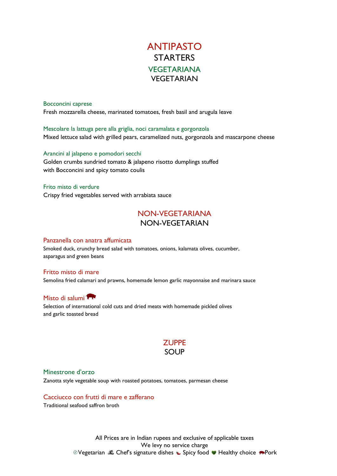# ANTIPASTO **STARTERS VEGETARIANA** VEGETARIAN

#### Bocconcini caprese

Fresh mozzarella cheese, marinated tomatoes, fresh basil and arugula leave

Mescolare la lattuga pere alla griglia, noci caramalata e gorgonzola Mixed lettuce salad with grilled pears, caramelized nuts, gorgonzola and mascarpone cheese

#### Arancini al jalapeno e pomodori secchi

Golden crumbs sundried tomato & jalapeno risotto dumplings stuffed with Bocconcini and spicy tomato coulis

#### Frito misto di verdure

Crispy fried vegetables served with arrabiata sauce

### NON-VEGETARIANA NON-VEGETARIAN

#### Panzanella con anatra affumicata

Smoked duck, crunchy bread salad with tomatoes, onions, kalamata olives, cucumber, asparagus and green beans

#### Fritto misto di mare

Semolina fried calamari and prawns, homemade lemon garlic mayonnaise and marinara sauce

#### Misto di salumi

Selection of international cold cuts and dried meats with homemade pickled olives and garlic toasted bread

### **ZUPPE** SOUP

#### Minestrone d'orzo

Zanotta style vegetable soup with roasted potatoes, tomatoes, parmesan cheese

#### Cacciucco con frutti di mare e zafferano

Traditional seafood saffron broth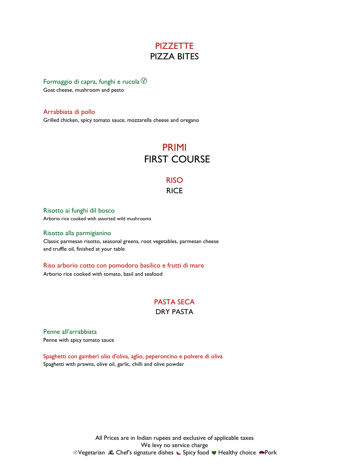## **PIZZETTE** PIZZA BITES

#### Formaggio di capra, funghi e rucola  $\mathcal D$

Goat cheese, mushroom and pesto

Arrabbiata di pollo

Grilled chicken, spicy tomato sauce, mozzarella cheese and oregano

# PRIMI FIRST COURSE

# RISO

## **RICE**

Risotto ai funghi dil bosco Arborio rice cooked with assorted wild mushrooms

#### Risotto alla parmigianino

Classic parmesan risotto, seasonal greens, root vegetables, parmesan cheese and truffle oil, finished at your table

#### Riso arborio cotto con pomodoro basilico e frutti di mare

Arborio rice cooked with tomato, basil and seafood

# PASTA SECA

### DRY PASTA

Penne all'arrabbiata Penne with spicy tomato sauce

Spaghetti con gamberi olio d'oliva, aglio, peperoncino e polvere di oliva Spaghetti with prawns, olive oil, garlic, chilli and olive powder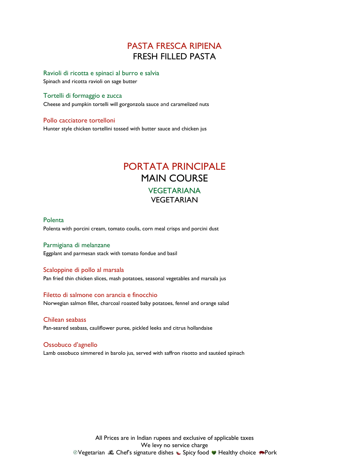# PASTA FRESCA RIPIENA FRESH FILLED PASTA

Ravioli di ricotta e spinaci al burro e salvia Spinach and ricotta ravioli on sage butter

Tortelli di formaggio e zucca

Cheese and pumpkin tortelli will gorgonzola sauce and caramelized nuts

#### Pollo cacciatore tortelloni

Hunter style chicken tortellini tossed with butter sauce and chicken jus

# PORTATA PRINCIPALE MAIN COURSE **VEGETARIANA** VEGETARIAN

#### Polenta

Polenta with porcini cream, tomato coulis, corn meal crisps and porcini dust

Parmigiana di melanzane Eggplant and parmesan stack with tomato fondue and basil

#### Scaloppine di pollo al marsala

Pan fried thin chicken slices, mash potatoes, seasonal vegetables and marsala jus

#### Filetto di salmone con arancia e finocchio

Norwegian salmon fillet, charcoal roasted baby potatoes, fennel and orange salad

#### Chilean seabass

Pan-seared seabass, cauliflower puree, pickled leeks and citrus hollandaise

#### Ossobuco d'agnello

Lamb ossobuco simmered in barolo jus, served with saffron risotto and sautéed spinach